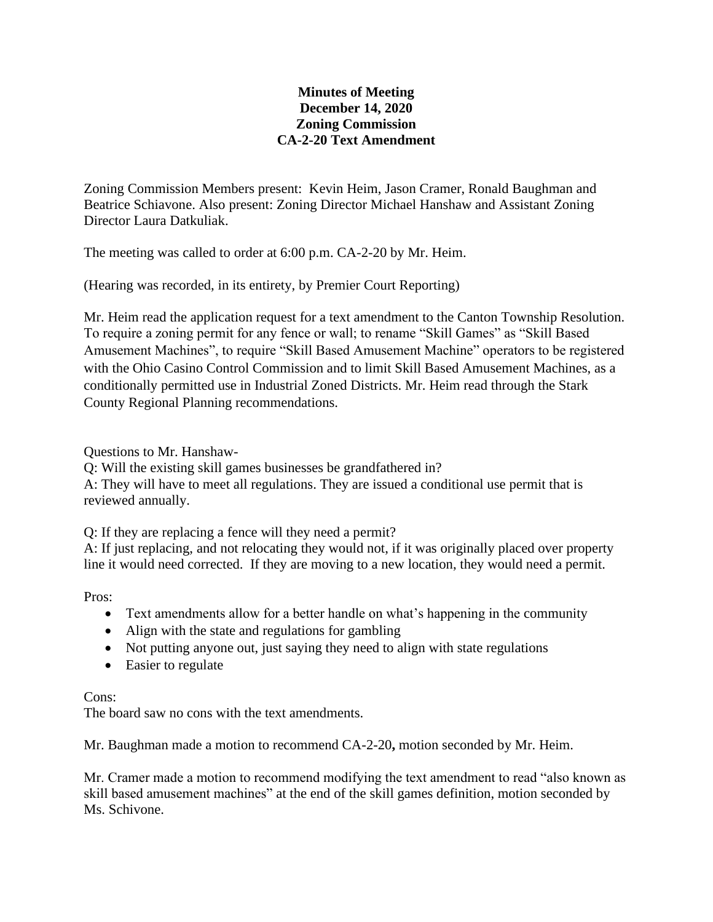## **Minutes of Meeting December 14, 2020 Zoning Commission CA-2-20 Text Amendment**

Zoning Commission Members present: Kevin Heim, Jason Cramer, Ronald Baughman and Beatrice Schiavone. Also present: Zoning Director Michael Hanshaw and Assistant Zoning Director Laura Datkuliak.

The meeting was called to order at 6:00 p.m. CA-2-20 by Mr. Heim.

(Hearing was recorded, in its entirety, by Premier Court Reporting)

Mr. Heim read the application request for a text amendment to the Canton Township Resolution. To require a zoning permit for any fence or wall; to rename "Skill Games" as "Skill Based Amusement Machines", to require "Skill Based Amusement Machine" operators to be registered with the Ohio Casino Control Commission and to limit Skill Based Amusement Machines, as a conditionally permitted use in Industrial Zoned Districts. Mr. Heim read through the Stark County Regional Planning recommendations.

Questions to Mr. Hanshaw-

Q: Will the existing skill games businesses be grandfathered in?

A: They will have to meet all regulations. They are issued a conditional use permit that is reviewed annually.

Q: If they are replacing a fence will they need a permit?

A: If just replacing, and not relocating they would not, if it was originally placed over property line it would need corrected. If they are moving to a new location, they would need a permit.

Pros:

- Text amendments allow for a better handle on what's happening in the community
- Align with the state and regulations for gambling
- Not putting anyone out, just saying they need to align with state regulations
- Easier to regulate

## Cons:

The board saw no cons with the text amendments.

Mr. Baughman made a motion to recommend CA-2-20**,** motion seconded by Mr. Heim.

Mr. Cramer made a motion to recommend modifying the text amendment to read "also known as skill based amusement machines" at the end of the skill games definition, motion seconded by Ms. Schivone.